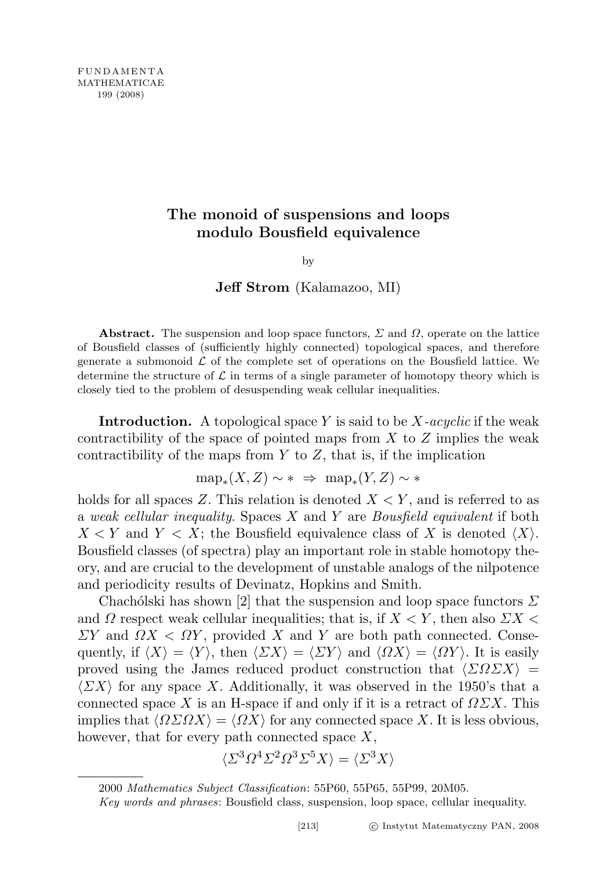## The monoid of suspensions and loops modulo Bousfield equivalence

by

Jeff Strom (Kalamazoo, MI)

Abstract. The suspension and loop space functors,  $\Sigma$  and  $\Omega$ , operate on the lattice of Bousfield classes of (sufficiently highly connected) topological spaces, and therefore generate a submonoid  $\mathcal L$  of the complete set of operations on the Bousfield lattice. We determine the structure of  $\mathcal L$  in terms of a single parameter of homotopy theory which is closely tied to the problem of desuspending weak cellular inequalities.

**Introduction.** A topological space Y is said to be  $X$ -acyclic if the weak contractibility of the space of pointed maps from  $X$  to  $Z$  implies the weak contractibility of the maps from  $Y$  to  $Z$ , that is, if the implication

$$
\text{map}_*(X,Z) \sim * \implies \text{map}_*(Y,Z) \sim *
$$

holds for all spaces Z. This relation is denoted  $X \leq Y$ , and is referred to as a weak cellular inequality. Spaces  $X$  and  $Y$  are Bousfield equivalent if both  $X \leq Y$  and  $Y \leq X$ ; the Bousfield equivalence class of X is denoted  $\langle X \rangle$ . Bousfield classes (of spectra) play an important role in stable homotopy theory, and are crucial to the development of unstable analogs of the nilpotence and periodicity results of Devinatz, Hopkins and Smith.

Chachólski has shown [2] that the suspension and loop space functors  $\Sigma$ and  $\Omega$  respect weak cellular inequalities; that is, if  $X \leq Y$ , then also  $\sum X \leq Y$  $\Sigma Y$  and  $\Omega X < \Omega Y$ , provided X and Y are both path connected. Consequently, if  $\langle X \rangle = \langle Y \rangle$ , then  $\langle \Sigma X \rangle = \langle \Sigma Y \rangle$  and  $\langle \Omega X \rangle = \langle \Omega Y \rangle$ . It is easily proved using the James reduced product construction that  $\langle \Sigma \Omega \Sigma X \rangle =$  $\langle \Sigma X \rangle$  for any space X. Additionally, it was observed in the 1950's that a connected space X is an H-space if and only if it is a retract of  $\Omega \Sigma X$ . This implies that  $\langle \Omega \Sigma \Omega X \rangle = \langle \Omega X \rangle$  for any connected space X. It is less obvious, however, that for every path connected space  $X$ ,

$$
\langle \varSigma^3\varOmega^4\varSigma^2\varOmega^3\varSigma^5X\rangle=\langle \varSigma^3X\rangle
$$

<sup>2000</sup> Mathematics Subject Classification: 55P60, 55P65, 55P99, 20M05.

Key words and phrases: Bousfield class, suspension, loop space, cellular inequality.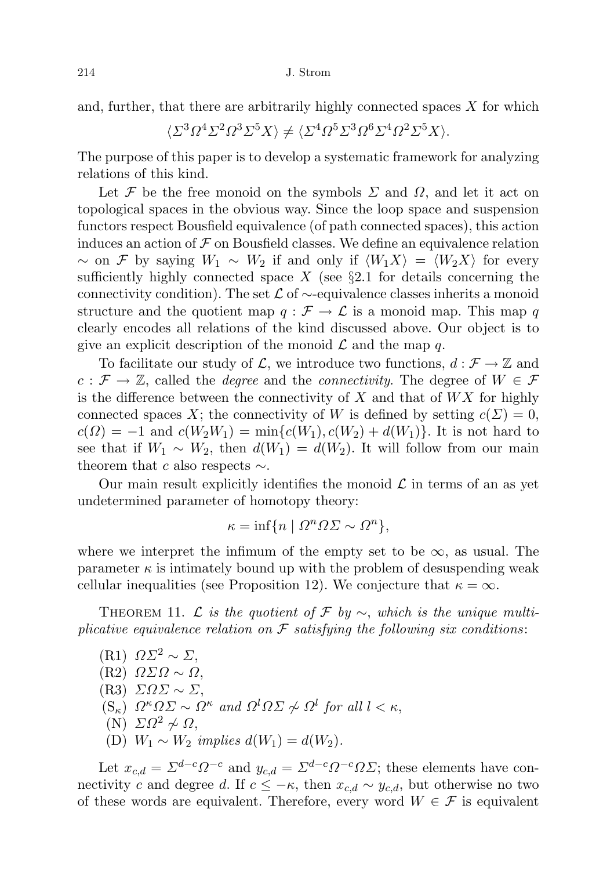and, further, that there are arbitrarily highly connected spaces  $X$  for which

$$
\langle \Sigma^3 \Omega^4 \Sigma^2 \Omega^3 \Sigma^5 X \rangle \neq \langle \Sigma^4 \Omega^5 \Sigma^3 \Omega^6 \Sigma^4 \Omega^2 \Sigma^5 X \rangle.
$$

The purpose of this paper is to develop a systematic framework for analyzing relations of this kind.

Let F be the free monoid on the symbols  $\Sigma$  and  $\Omega$ , and let it act on topological spaces in the obvious way. Since the loop space and suspension functors respect Bousfield equivalence (of path connected spaces), this action induces an action of  $\mathcal F$  on Bousfield classes. We define an equivalence relation  $\sim$  on F by saying  $W_1 \sim W_2$  if and only if  $\langle W_1 X \rangle = \langle W_2 X \rangle$  for every sufficiently highly connected space  $X$  (see §2.1 for details concerning the connectivity condition). The set  $\mathcal L$  of  $\sim$ -equivalence classes inherits a monoid structure and the quotient map  $q : \mathcal{F} \to \mathcal{L}$  is a monoid map. This map q clearly encodes all relations of the kind discussed above. Our object is to give an explicit description of the monoid  $\mathcal L$  and the map q.

To facilitate our study of L, we introduce two functions,  $d : \mathcal{F} \to \mathbb{Z}$  and  $c : \mathcal{F} \to \mathbb{Z}$ , called the *degree* and the *connectivity*. The degree of  $W \in \mathcal{F}$ is the difference between the connectivity of  $X$  and that of  $WX$  for highly connected spaces X; the connectivity of W is defined by setting  $c(\Sigma) = 0$ ,  $c(\Omega) = -1$  and  $c(W_2W_1) = \min\{c(W_1), c(W_2) + d(W_1)\}\.$  It is not hard to see that if  $W_1 \sim W_2$ , then  $d(W_1) = d(W_2)$ . It will follow from our main theorem that c also respects  $\sim$ .

Our main result explicitly identifies the monoid  $\mathcal L$  in terms of an as yet undetermined parameter of homotopy theory:

$$
\kappa = \inf \{ n \mid \Omega^n \Omega \Sigma \sim \Omega^n \},
$$

where we interpret the infimum of the empty set to be  $\infty$ , as usual. The parameter  $\kappa$  is intimately bound up with the problem of desuspending weak cellular inequalities (see Proposition 12). We conjecture that  $\kappa = \infty$ .

THEOREM 11. L is the quotient of F by  $\sim$ , which is the unique multiplicative equivalence relation on  $\mathcal F$  satisfying the following six conditions:

 $(R1)$   $\Omega\Sigma^2 \sim \Sigma$ , (R2) ΩΣΩ ∼ Ω, (R3)  $ΣΩΣ ~ Σ.$  $(S_{\kappa}) \Omega^{\kappa} \Omega \Sigma \sim \Omega^{\kappa}$  and  $\Omega^{l} \Omega \Sigma \not\sim \Omega^{l}$  for all  $l < \kappa$ , (N)  $\Sigma Ω^2 \not\sim Ω$ , (D)  $W_1 \sim W_2$  implies  $d(W_1) = d(W_2)$ .

Let  $x_{c,d} = \sum^{d-c} \Omega^{-c}$  and  $y_{c,d} = \sum^{d-c} \Omega^{-c} \Omega \Sigma$ ; these elements have connectivity c and degree d. If  $c \leq -\kappa$ , then  $x_{c,d} \sim y_{c,d}$ , but otherwise no two of these words are equivalent. Therefore, every word  $W \in \mathcal{F}$  is equivalent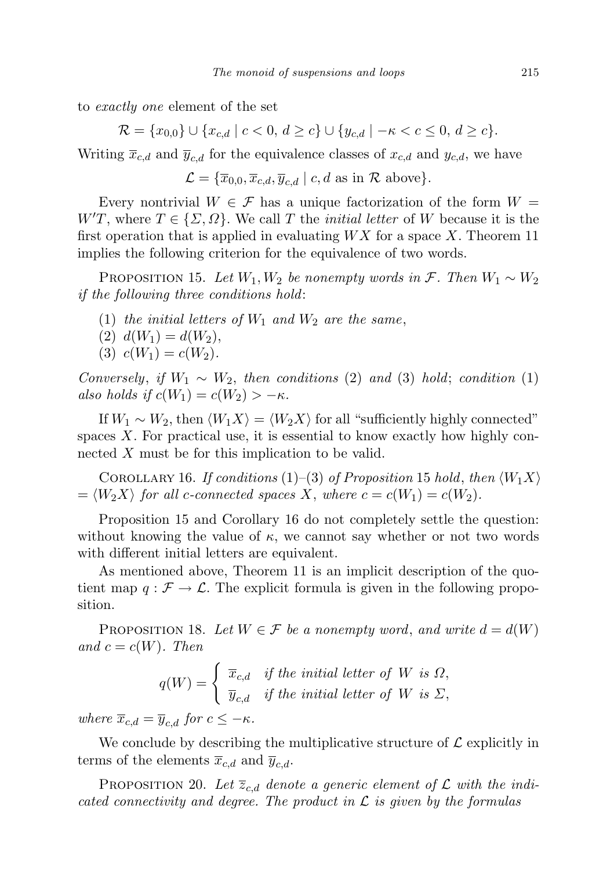to exactly one element of the set

 $\mathcal{R} = \{x_{0,0}\} \cup \{x_{c,d} \mid c < 0, d \ge c\} \cup \{y_{c,d} \mid -\kappa < c \le 0, d \ge c\}.$ 

Writing  $\bar{x}_{c,d}$  and  $\bar{y}_{c,d}$  for the equivalence classes of  $x_{c,d}$  and  $y_{c,d}$ , we have

$$
\mathcal{L} = \{ \overline{x}_{0,0}, \overline{x}_{c,d}, \overline{y}_{c,d} \mid c, d \text{ as in } \mathcal{R} \text{ above} \}.
$$

Every nontrivial  $W \in \mathcal{F}$  has a unique factorization of the form  $W =$  $W'T$ , where  $T \in \{\Sigma, \Omega\}$ . We call T the *initial letter* of W because it is the first operation that is applied in evaluating  $WX$  for a space X. Theorem 11 implies the following criterion for the equivalence of two words.

PROPOSITION 15. Let  $W_1, W_2$  be nonempty words in F. Then  $W_1 \sim W_2$ if the following three conditions hold:

- (1) the initial letters of  $W_1$  and  $W_2$  are the same,
- (2)  $d(W_1) = d(W_2)$ ,
- (3)  $c(W_1) = c(W_2)$ .

Conversely, if  $W_1 \sim W_2$ , then conditions (2) and (3) hold; condition (1) also holds if  $c(W_1) = c(W_2) > -\kappa$ .

If  $W_1 \sim W_2$ , then  $\langle W_1 X \rangle = \langle W_2 X \rangle$  for all "sufficiently highly connected" spaces X. For practical use, it is essential to know exactly how highly connected X must be for this implication to be valid.

COROLLARY 16. If conditions  $(1)$ – $(3)$  of Proposition 15 hold, then  $\langle W_1 X \rangle$  $=\langle W_2X\rangle$  for all c-connected spaces X, where  $c = c(W_1) = c(W_2)$ .

Proposition 15 and Corollary 16 do not completely settle the question: without knowing the value of  $\kappa$ , we cannot say whether or not two words with different initial letters are equivalent.

As mentioned above, Theorem 11 is an implicit description of the quotient map  $q : \mathcal{F} \to \mathcal{L}$ . The explicit formula is given in the following proposition.

PROPOSITION 18. Let  $W \in \mathcal{F}$  be a nonempty word, and write  $d = d(W)$ and  $c = c(W)$ . Then

$$
q(W) = \begin{cases} \overline{x}_{c,d} & \text{if the initial letter of } W \text{ is } \Omega, \\ \overline{y}_{c,d} & \text{if the initial letter of } W \text{ is } \Sigma, \end{cases}
$$

where  $\overline{x}_{c,d} = \overline{y}_{c,d}$  for  $c \leq -\kappa$ .

We conclude by describing the multiplicative structure of  $\mathcal L$  explicitly in terms of the elements  $\overline{x}_{c,d}$  and  $\overline{y}_{c,d}$ .

PROPOSITION 20. Let  $\overline{z}_{c,d}$  denote a generic element of  $\mathcal L$  with the indicated connectivity and degree. The product in  $\mathcal L$  is given by the formulas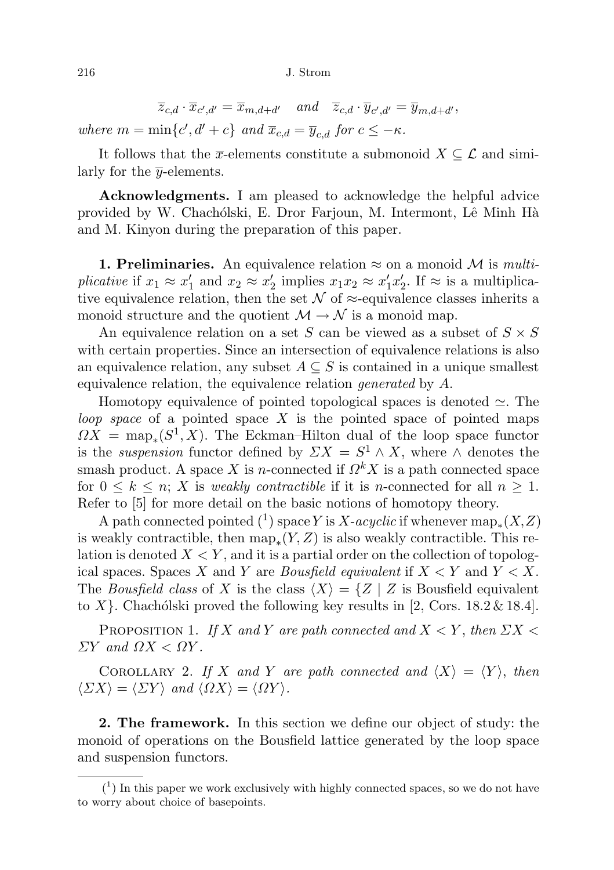$\overline{z}_{c,d} \cdot \overline{x}_{c',d'} = \overline{x}_{m,d+d'} \quad \text{and} \quad \overline{z}_{c,d} \cdot \overline{y}_{c',d'} = \overline{y}_{m,d+d'},$ 

where  $m = \min\{c', d' + c\}$  and  $\overline{x}_{c,d} = \overline{y}_{c,d}$  for  $c \leq -\kappa$ .

It follows that the  $\overline{x}$ -elements constitute a submonoid  $X \subseteq \mathcal{L}$  and similarly for the  $\bar{y}$ -elements.

Acknowledgments. I am pleased to acknowledge the helpful advice provided by W. Chachólski, E. Dror Farjoun, M. Intermont, Lê Minh Hà and M. Kinyon during the preparation of this paper.

**1. Preliminaries.** An equivalence relation  $\approx$  on a monoid M is *multi*plicative if  $x_1 \approx x'_1$  and  $x_2 \approx x'_2$  implies  $x_1x_2 \approx x'_1x'_2$ . If  $\approx$  is a multiplicative equivalence relation, then the set  $\mathcal N$  of  $\approx$ -equivalence classes inherits a monoid structure and the quotient  $\mathcal{M} \to \mathcal{N}$  is a monoid map.

An equivalence relation on a set S can be viewed as a subset of  $S \times S$ with certain properties. Since an intersection of equivalence relations is also an equivalence relation, any subset  $A \subseteq S$  is contained in a unique smallest equivalence relation, the equivalence relation *generated* by A.

Homotopy equivalence of pointed topological spaces is denoted  $\simeq$ . The loop space of a pointed space X is the pointed space of pointed maps  $\Omega X = \text{map}_*(S^1, X)$ . The Eckman–Hilton dual of the loop space functor is the *suspension* functor defined by  $\sum X = S^1 \wedge X$ , where  $\wedge$  denotes the smash product. A space X is n-connected if  $\Omega^k X$  is a path connected space for  $0 \leq k \leq n$ ; X is weakly contractible if it is n-connected for all  $n \geq 1$ . Refer to [5] for more detail on the basic notions of homotopy theory.

A path connected pointed  $(1)$  space Y is X-acyclic if whenever  $\mathrm{map}_*(X,Z)$ is weakly contractible, then  $\text{map}_*(Y, Z)$  is also weakly contractible. This relation is denoted  $X \leq Y$ , and it is a partial order on the collection of topological spaces. Spaces X and Y are *Bousfield equivalent* if  $X \leq Y$  and  $Y \leq X$ . The Bousfield class of X is the class  $\langle X \rangle = \{Z | Z$  is Bousfield equivalent to X }. Chachólski proved the following key results in [2, Cors. 18.2 & 18.4].

PROPOSITION 1. If X and Y are path connected and  $X \leq Y$ , then  $\sum X \leq Y$  $\Sigma Y$  and  $\Omega X < \Omega Y$ .

COROLLARY 2. If X and Y are path connected and  $\langle X \rangle = \langle Y \rangle$ , then  $\langle \Sigma X \rangle = \langle \Sigma Y \rangle$  and  $\langle \Omega X \rangle = \langle \Omega Y \rangle$ .

2. The framework. In this section we define our object of study: the monoid of operations on the Bousfield lattice generated by the loop space and suspension functors.

 $(1)$  In this paper we work exclusively with highly connected spaces, so we do not have to worry about choice of basepoints.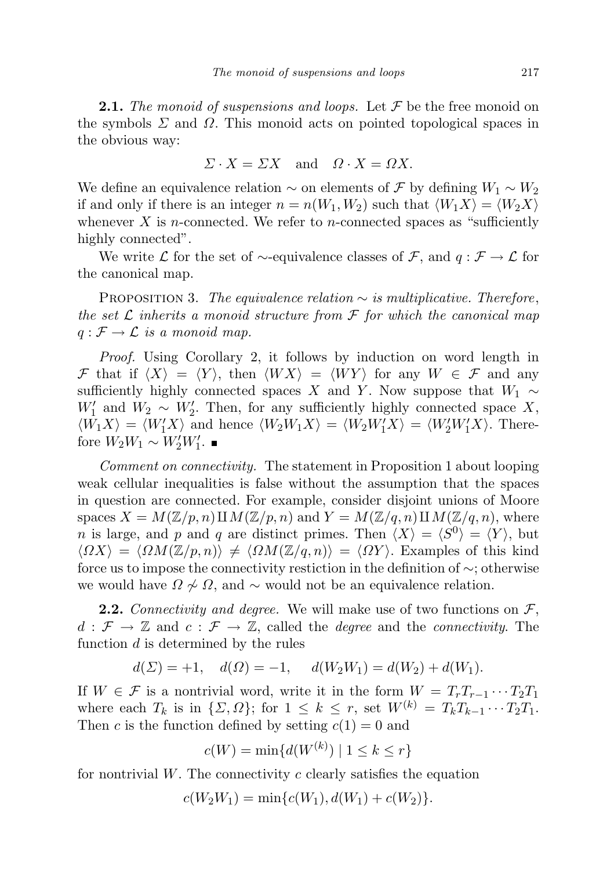**2.1.** The monoid of suspensions and loops. Let  $\mathcal F$  be the free monoid on the symbols  $\Sigma$  and  $\Omega$ . This monoid acts on pointed topological spaces in the obvious way:

$$
\Sigma \cdot X = \Sigma X \quad \text{and} \quad \Omega \cdot X = \Omega X.
$$

We define an equivalence relation  $\sim$  on elements of F by defining  $W_1 \sim W_2$ if and only if there is an integer  $n = n(W_1, W_2)$  such that  $\langle W_1 X \rangle = \langle W_2 X \rangle$ whenever X is *n*-connected. We refer to *n*-connected spaces as "sufficiently highly connected".

We write  $\mathcal L$  for the set of  $\sim$ -equivalence classes of  $\mathcal F$ , and  $q: \mathcal F \to \mathcal L$  for the canonical map.

PROPOSITION 3. The equivalence relation  $\sim$  is multiplicative. Therefore, the set  $\mathcal L$  inherits a monoid structure from  $\mathcal F$  for which the canonical map  $q: \mathcal{F} \to \mathcal{L}$  is a monoid map.

Proof. Using Corollary 2, it follows by induction on word length in F that if  $\langle X \rangle = \langle Y \rangle$ , then  $\langle W X \rangle = \langle W Y \rangle$  for any  $W \in \mathcal{F}$  and any sufficiently highly connected spaces X and Y. Now suppose that  $W_1 \sim$  $W'_1$  and  $W_2 \sim W'_2$ . Then, for any sufficiently highly connected space X,  $\langle W_1 X \rangle = \langle W_1' X \rangle$  and hence  $\langle W_2 W_1 X \rangle = \langle W_2 W_1' X \rangle = \langle W_2' W_1' X \rangle$ . Therefore  $W_2W_1 \sim W_2'W_1'$ .

Comment on connectivity. The statement in Proposition 1 about looping weak cellular inequalities is false without the assumption that the spaces in question are connected. For example, consider disjoint unions of Moore spaces  $X = M(\mathbb{Z}/p, n) \amalg M(\mathbb{Z}/p, n)$  and  $Y = M(\mathbb{Z}/q, n) \amalg M(\mathbb{Z}/q, n)$ , where *n* is large, and *p* and *q* are distinct primes. Then  $\langle X \rangle = \langle S^0 \rangle = \langle Y \rangle$ , but  $\langle \Omega X \rangle = \langle \Omega M(\mathbb{Z}/p, n) \rangle \neq \langle \Omega M(\mathbb{Z}/q, n) \rangle = \langle \Omega Y \rangle$ . Examples of this kind force us to impose the connectivity restiction in the definition of ∼; otherwise we would have  $\Omega \nsim \Omega$ , and  $\sim$  would not be an equivalence relation.

**2.2.** Connectivity and degree. We will make use of two functions on  $\mathcal{F}$ ,  $d : \mathcal{F} \to \mathbb{Z}$  and  $c : \mathcal{F} \to \mathbb{Z}$ , called the *degree* and the *connectivity*. The function  $d$  is determined by the rules

$$
d(\Sigma) = +1, \quad d(\Omega) = -1, \quad d(W_2 W_1) = d(W_2) + d(W_1).
$$

If  $W \in \mathcal{F}$  is a nontrivial word, write it in the form  $W = T_rT_{r-1}\cdots T_2T_1$ where each  $T_k$  is in  $\{\Sigma,\Omega\}$ ; for  $1 \leq k \leq r$ , set  $W^{(k)} = T_k T_{k-1} \cdots T_2 T_1$ . Then c is the function defined by setting  $c(1) = 0$  and

$$
c(W) = \min\{d(W^{(k)}) \mid 1 \le k \le r\}
$$

for nontrivial  $W$ . The connectivity c clearly satisfies the equation

$$
c(W_2W_1) = \min\{c(W_1), d(W_1) + c(W_2)\}.
$$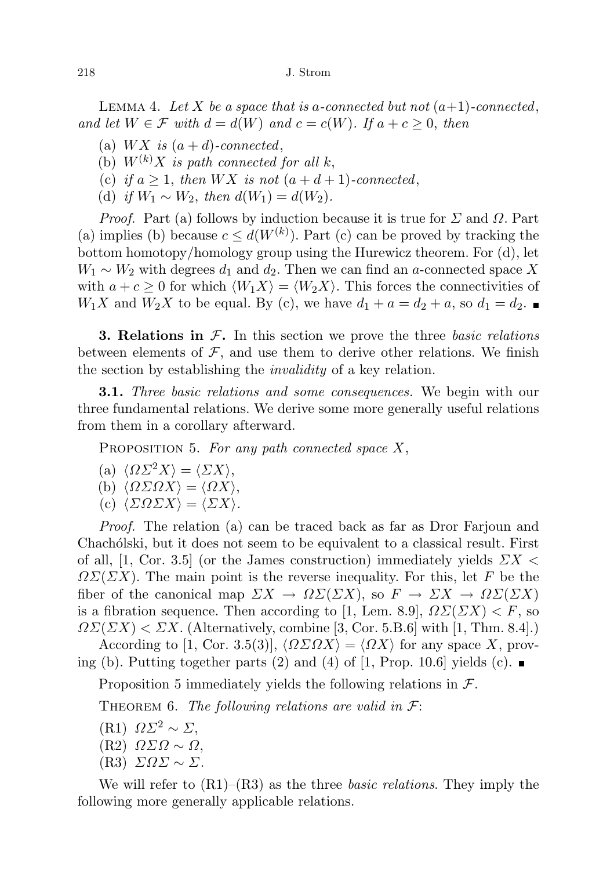LEMMA 4. Let X be a space that is a-connected but not  $(a+1)$ -connected, and let  $W \in \mathcal{F}$  with  $d = d(W)$  and  $c = c(W)$ . If  $a + c \geq 0$ , then

- (a)  $WX$  is  $(a+d)$ -connected,
- (b)  $W^{(k)}X$  is path connected for all k,
- (c) if  $a \geq 1$ , then  $WX$  is not  $(a+d+1)$ -connected,
- (d) if  $W_1 \sim W_2$ , then  $d(W_1) = d(W_2)$ .

*Proof.* Part (a) follows by induction because it is true for  $\Sigma$  and  $\Omega$ . Part (a) implies (b) because  $c \leq d(W^{(k)})$ . Part (c) can be proved by tracking the bottom homotopy/homology group using the Hurewicz theorem. For (d), let  $W_1 \sim W_2$  with degrees  $d_1$  and  $d_2$ . Then we can find an a-connected space X with  $a + c \geq 0$  for which  $\langle W_1 X \rangle = \langle W_2 X \rangle$ . This forces the connectivities of  $W_1X$  and  $W_2X$  to be equal. By (c), we have  $d_1 + a = d_2 + a$ , so  $d_1 = d_2$ .

**3. Relations in**  $\mathcal{F}$ **.** In this section we prove the three *basic relations* between elements of  $\mathcal{F}$ , and use them to derive other relations. We finish the section by establishing the *invalidity* of a key relation.

**3.1.** Three basic relations and some consequences. We begin with our three fundamental relations. We derive some more generally useful relations from them in a corollary afterward.

PROPOSITION 5. For any path connected space  $X$ ,

(a) 
$$
\langle \Omega \Sigma^2 X \rangle = \langle \Sigma X \rangle
$$
,

(b) 
$$
\langle \Omega \Sigma \Omega X \rangle = \langle \Omega X \rangle
$$
,

(c)  $\langle \Sigma \Omega \Sigma X \rangle = \langle \Sigma X \rangle$ .

Proof. The relation (a) can be traced back as far as Dror Farjoun and Chachólski, but it does not seem to be equivalent to a classical result. First of all, [1, Cor. 3.5] (or the James construction) immediately yields  $\sum X$  $\Omega\Sigma(\Sigma X)$ . The main point is the reverse inequality. For this, let F be the fiber of the canonical map  $\varSigma X \to \Omega \varSigma(\varSigma X)$ , so  $F \to \varSigma X \to \Omega \varSigma(\varSigma X)$ is a fibration sequence. Then according to [1, Lem. 8.9],  $\Omega\Sigma(\Sigma X) < F$ , so  $\Omega\Sigma(\Sigma X) < \Sigma X$ . (Alternatively, combine [3, Cor. 5.B.6] with [1, Thm. 8.4].)

According to [1, Cor. 3.5(3)],  $\langle \Omega \Sigma \Omega X \rangle = \langle \Omega X \rangle$  for any space X, proving (b). Putting together parts (2) and (4) of [1, Prop. 10.6] yields (c).

Proposition 5 immediately yields the following relations in  $\mathcal{F}$ .

THEOREM 6. The following relations are valid in  $\mathcal{F}$ :

- (R1)  $\Omega\Sigma^2 \sim \Sigma$ ,
- (R2) ΩΣΩ ∼ Ω,
- (R3) ΣΩΣ ∼ Σ.

We will refer to  $(R1)$ – $(R3)$  as the three *basic relations*. They imply the following more generally applicable relations.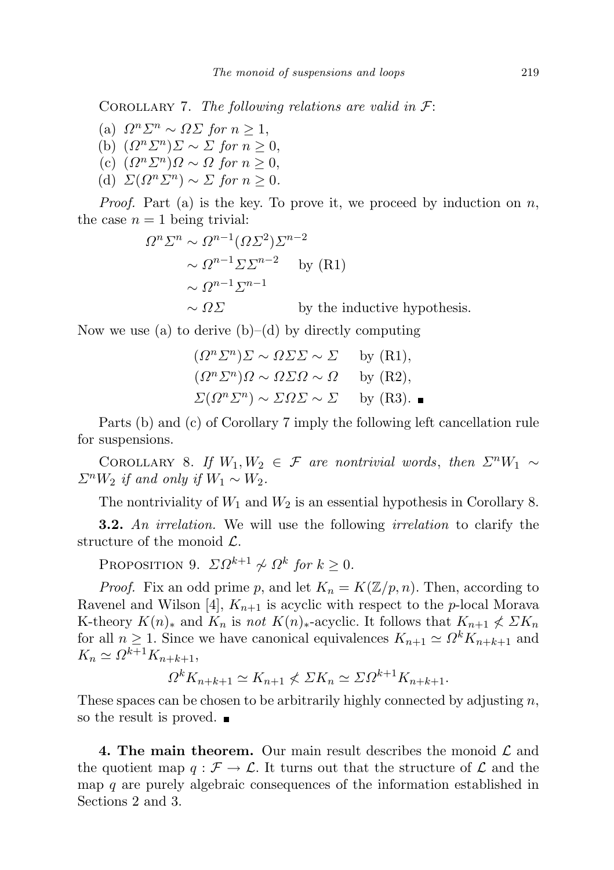COROLLARY 7. The following relations are valid in  $\mathcal{F}$ :

- (a)  $\Omega^n \Sigma^n \sim \Omega \Sigma$  for  $n \geq 1$ , (b)  $(\Omega^n \Sigma^n) \Sigma \sim \Sigma$  for  $n \geq 0$ , (c)  $(\Omega^n \Sigma^n) \Omega \sim \Omega$  for  $n \geq 0$ ,
- (d)  $\Sigma(\Omega^n \Sigma^n) \sim \Sigma$  for  $n \geq 0$ .

*Proof.* Part (a) is the key. To prove it, we proceed by induction on  $n$ , the case  $n = 1$  being trivial:

$$
\Omega^n \Sigma^n \sim \Omega^{n-1} (\Omega \Sigma^2) \Sigma^{n-2}
$$
  
  $\sim \Omega^{n-1} \Sigma \Sigma^{n-2}$  by (R1)  
  $\sim \Omega^{n-1} \Sigma^{n-1}$   
by the inductive hypothesis.

Now we use (a) to derive  $(b)$ –(d) by directly computing

$$
(\Omega^n \Sigma^n) \Sigma \sim \Omega \Sigma \Sigma \sim \Sigma \quad \text{by (R1)},
$$
  
\n
$$
(\Omega^n \Sigma^n) \Omega \sim \Omega \Sigma \Omega \sim \Omega \quad \text{by (R2)},
$$
  
\n
$$
\Sigma (\Omega^n \Sigma^n) \sim \Sigma \Omega \Sigma \sim \Sigma \quad \text{by (R3).}
$$

Parts (b) and (c) of Corollary 7 imply the following left cancellation rule for suspensions.

COROLLARY 8. If  $W_1, W_2 \in \mathcal{F}$  are nontrivial words, then  $\Sigma^n W_1 \sim$  $\Sigma^n W_2$  if and only if  $W_1 \sim W_2$ .

The nontriviality of  $W_1$  and  $W_2$  is an essential hypothesis in Corollary 8.

**3.2.** An irrelation. We will use the following irrelation to clarify the structure of the monoid  $\mathcal{L}$ .

PROPOSITION 9.  $\Sigma \Omega^{k+1} \nsim \Omega^k$  for  $k \geq 0$ .

*Proof.* Fix an odd prime p, and let  $K_n = K(\mathbb{Z}/p, n)$ . Then, according to Ravenel and Wilson [4],  $K_{n+1}$  is acyclic with respect to the p-local Morava K-theory  $K(n)_*$  and  $K_n$  is not  $K(n)_*$ -acyclic. It follows that  $K_{n+1} \nleqslant \Sigma K_n$ for all  $n \geq 1$ . Since we have canonical equivalences  $K_{n+1} \simeq \Omega^k K_{n+k+1}$  and  $K_n \simeq \Omega^{k+1} K_{n+k+1},$ 

$$
\Omega^k K_{n+k+1} \simeq K_{n+1} \nleq \Sigma K_n \simeq \Sigma \Omega^{k+1} K_{n+k+1}.
$$

These spaces can be chosen to be arbitrarily highly connected by adjusting  $n$ , so the result is proved.

**4. The main theorem.** Our main result describes the monoid  $\mathcal{L}$  and the quotient map  $q : \mathcal{F} \to \mathcal{L}$ . It turns out that the structure of  $\mathcal{L}$  and the map  $q$  are purely algebraic consequences of the information established in Sections 2 and 3.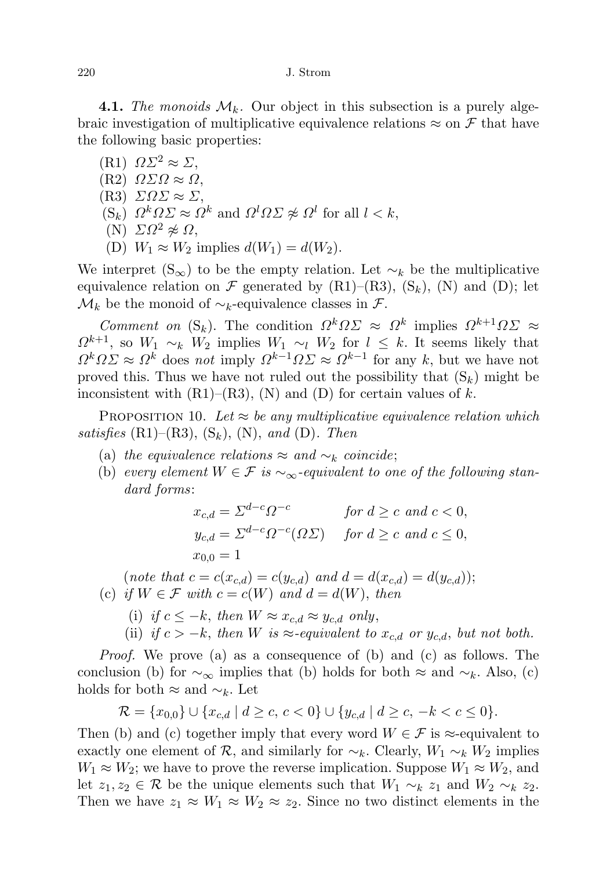220 J. Strom

**4.1.** The monoids  $\mathcal{M}_k$ . Our object in this subsection is a purely algebraic investigation of multiplicative equivalence relations  $\approx$  on F that have the following basic properties:

(R1)  $\Omega\Sigma^2 \approx \Sigma$ , (R2)  $ΩΣΩ ≈ Ω$ ,  $(R3)$   $\Sigma \Omega \Sigma \approx \Sigma$ ,  $(S_k)$   $\Omega^k \Omega \Sigma \approx \Omega^k$  and  $\Omega^l \Omega \Sigma \not\approx \Omega^l$  for all  $l < k$ , (N)  $\Sigma Ω^2 \not\approx Ω$ , (D)  $W_1 \approx W_2$  implies  $d(W_1) = d(W_2)$ .

We interpret (S<sub>∞</sub>) to be the empty relation. Let  $\sim_k$  be the multiplicative equivalence relation on  $\mathcal F$  generated by  $(R1)$ – $(R3)$ ,  $(S_k)$ ,  $(N)$  and  $(D)$ ; let  $\mathcal{M}_k$  be the monoid of  $\sim_k$ -equivalence classes in  $\mathcal{F}$ .

Comment on  $(S_k)$ . The condition  $\Omega^k \Omega \Sigma \approx \Omega^k$  implies  $\Omega^{k+1} \Omega \Sigma \approx$  $\Omega^{k+1}$ , so  $W_1 \sim_k W_2$  implies  $W_1 \sim_l W_2$  for  $l \leq k$ . It seems likely that  $\Omega^k \Omega \Sigma \approx \Omega^k$  does not imply  $\Omega^{k-1} \Omega \Sigma \approx \Omega^{k-1}$  for any k, but we have not proved this. Thus we have not ruled out the possibility that  $(S_k)$  might be inconsistent with  $(R1)$ – $(R3)$ ,  $(N)$  and  $(D)$  for certain values of k.

PROPOSITION 10. Let  $\approx$  be any multiplicative equivalence relation which satisfies  $(R1)$ – $(R3)$ ,  $(S_k)$ ,  $(N)$ , and  $(D)$ . Then

- (a) the equivalence relations  $\approx$  and  $\sim_k$  coincide;
- (b) every element  $W \in \mathcal{F}$  is  $\sim_{\infty}$ -equivalent to one of the following standard forms:

$$
x_{c,d} = \Sigma^{d-c} \Omega^{-c}
$$
 for  $d \ge c$  and  $c < 0$ ,  
\n
$$
y_{c,d} = \Sigma^{d-c} \Omega^{-c} (\Omega \Sigma)
$$
 for  $d \ge c$  and  $c \le 0$ ,  
\n
$$
x_{0,0} = 1
$$

(note that  $c = c(x_{c,d}) = c(y_{c,d})$  and  $d = d(x_{c,d}) = d(y_{c,d})$ ); (c) if  $W \in \mathcal{F}$  with  $c = c(W)$  and  $d = d(W)$ , then

- (i) if  $c \leq -k$ , then  $W \approx x_{c,d} \approx y_{c,d}$  only,
- (ii) if  $c > -k$ , then W is  $\approx$ -equivalent to  $x_{c,d}$  or  $y_{c,d}$ , but not both.

Proof. We prove (a) as a consequence of (b) and (c) as follows. The conclusion (b) for  $\sim_{\infty}$  implies that (b) holds for both  $\approx$  and  $\sim_k$ . Also, (c) holds for both  $\approx$  and  $\sim_k$ . Let

$$
\mathcal{R} = \{x_{0,0}\} \cup \{x_{c,d} \mid d \ge c, \ c < 0\} \cup \{y_{c,d} \mid d \ge c, \ -k < c \le 0\}.
$$

Then (b) and (c) together imply that every word  $W \in \mathcal{F}$  is  $\approx$ -equivalent to exactly one element of R, and similarly for  $\sim_k$ . Clearly,  $W_1 \sim_k W_2$  implies  $W_1 \approx W_2$ ; we have to prove the reverse implication. Suppose  $W_1 \approx W_2$ , and let  $z_1, z_2 \in \mathcal{R}$  be the unique elements such that  $W_1 \sim_k z_1$  and  $W_2 \sim_k z_2$ . Then we have  $z_1 \approx W_1 \approx W_2 \approx z_2$ . Since no two distinct elements in the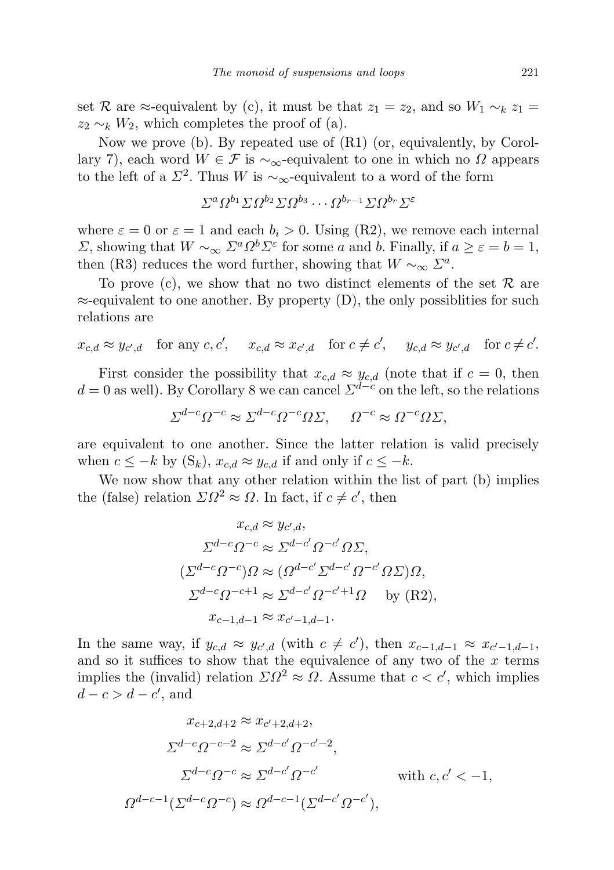set R are ≈-equivalent by (c), it must be that  $z_1 = z_2$ , and so  $W_1 \sim_k z_1 =$  $z_2 \sim_k W_2$ , which completes the proof of (a).

Now we prove (b). By repeated use of (R1) (or, equivalently, by Corollary 7), each word  $W \in \mathcal{F}$  is  $\sim_{\infty}$ -equivalent to one in which no  $\Omega$  appears to the left of a  $\Sigma^2$ . Thus W is ~<sub>∞</sub>-equivalent to a word of the form

$$
\Sigma^a \Omega^{b_1} \Sigma \Omega^{b_2} \Sigma \Omega^{b_3} \cdots \Omega^{b_{r-1}} \Sigma \Omega^{b_r} \Sigma^{\varepsilon}
$$

where  $\varepsilon = 0$  or  $\varepsilon = 1$  and each  $b_i > 0$ . Using (R2), we remove each internal  $Σ$ , showing that  $W \sim_{\infty} Σ^a Ω^b Σ^ε$  for some *a* and *b*. Finally, if  $a ≥ ε = b = 1$ , then (R3) reduces the word further, showing that  $W \sim_{\infty} \Sigma^a$ .

To prove (c), we show that no two distinct elements of the set  $\mathcal R$  are  $\approx$ -equivalent to one another. By property (D), the only possibilities for such relations are

$$
x_{c,d} \approx y_{c',d} \quad \text{for any } c, c', \quad x_{c,d} \approx x_{c',d} \quad \text{for } c \neq c', \quad y_{c,d} \approx y_{c',d} \quad \text{for } c \neq c'.
$$

First consider the possibility that  $x_{c,d} \approx y_{c,d}$  (note that if  $c = 0$ , then  $d = 0$  as well). By Corollary 8 we can cancel  $\Sigma^{\tilde{d}-c}$  on the left, so the relations

$$
\Sigma^{d-c}\Omega^{-c} \approx \Sigma^{d-c}\Omega^{-c}\Omega\Sigma, \quad \Omega^{-c} \approx \Omega^{-c}\Omega\Sigma,
$$

are equivalent to one another. Since the latter relation is valid precisely when  $c \leq -k$  by  $(S_k)$ ,  $x_{c,d} \approx y_{c,d}$  if and only if  $c \leq -k$ .

We now show that any other relation within the list of part (b) implies the (false) relation  $\Sigma \Omega^2 \approx \Omega$ . In fact, if  $c \neq c'$ , then

$$
x_{c,d} \approx y_{c',d},
$$
  
\n
$$
\Sigma^{d-c}\Omega^{-c} \approx \Sigma^{d-c'}\Omega^{-c'}\Omega\Sigma,
$$
  
\n
$$
(\Sigma^{d-c}\Omega^{-c})\Omega \approx (\Omega^{d-c'}\Sigma^{d-c'}\Omega^{-c'}\Omega\Sigma)\Omega,
$$
  
\n
$$
\Sigma^{d-c}\Omega^{-c+1} \approx \Sigma^{d-c'}\Omega^{-c'+1}\Omega \quad \text{by (R2)},
$$
  
\n
$$
x_{c-1,d-1} \approx x_{c'-1,d-1}.
$$

In the same way, if  $y_{c,d} \approx y_{c',d}$  (with  $c \neq c'$ ), then  $x_{c-1,d-1} \approx x_{c'-1,d-1}$ , and so it suffices to show that the equivalence of any two of the  $x$  terms implies the (invalid) relation  $\Sigma \Omega^2 \approx \Omega$ . Assume that  $c < c'$ , which implies  $d-c>d-c'$ , and

$$
x_{c+2,d+2} \approx x_{c'+2,d+2},
$$
  
\n
$$
\sum^{d-c} Q^{-c-2} \approx \sum^{d-c'} Q^{-c'-2},
$$
  
\n
$$
\sum^{d-c} Q^{-c} \approx \sum^{d-c'} Q^{-c'}
$$
 with  $c, c' < -1$ ,  
\n
$$
\Omega^{d-c-1}(\sum^{d-c} Q^{-c}) \approx \Omega^{d-c-1}(\sum^{d-c'} Q^{-c'}),
$$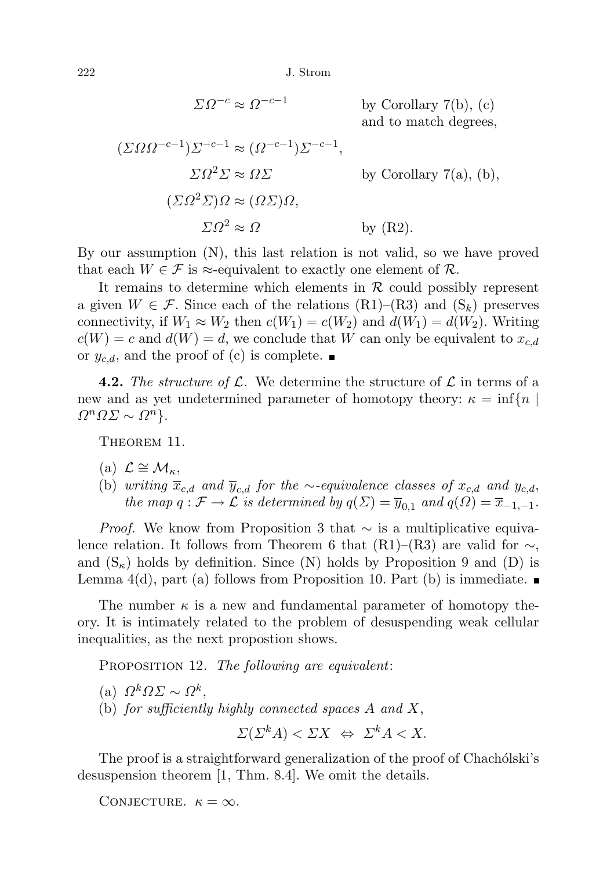222 J. Strom

 $\Sigma \Omega^{-c} \approx \Omega^{-c-1}$ 

by Corollary  $7(b)$ ,  $(c)$ and to match degrees,

$$
(\Sigma \Omega \Omega^{-c-1}) \Sigma^{-c-1} \approx (\Omega^{-c-1}) \Sigma^{-c-1},
$$
  
\n
$$
\Sigma \Omega^2 \Sigma \approx \Omega \Sigma
$$
 by Corollary 7(a), (b),  
\n
$$
(\Sigma \Omega^2 \Sigma) \Omega \approx (\Omega \Sigma) \Omega,
$$
  
\n
$$
\Sigma \Omega^2 \approx \Omega
$$
 by (R2).

By our assumption (N), this last relation is not valid, so we have proved that each  $W \in \mathcal{F}$  is  $\approx$ -equivalent to exactly one element of  $\mathcal{R}$ .

It remains to determine which elements in  $\mathcal R$  could possibly represent a given  $W \in \mathcal{F}$ . Since each of the relations  $(R1)$ – $(R3)$  and  $(S_k)$  preserves connectivity, if  $W_1 \approx W_2$  then  $c(W_1) = c(W_2)$  and  $d(W_1) = d(W_2)$ . Writing  $c(W) = c$  and  $d(W) = d$ , we conclude that W can only be equivalent to  $x_{c,d}$ or  $y_{c,d}$ , and the proof of (c) is complete.

**4.2.** The structure of  $\mathcal{L}$ . We determine the structure of  $\mathcal{L}$  in terms of a new and as yet undetermined parameter of homotopy theory:  $\kappa = \inf\{n \mid$  $\Omega^n \Omega \Sigma \sim \Omega^n$ .

THEOREM 11.

- (a)  $\mathcal{L} \cong \mathcal{M}_{\kappa}$ ,
- (b) writing  $\overline{x}_{c,d}$  and  $\overline{y}_{c,d}$  for the ∼-equivalence classes of  $x_{c,d}$  and  $y_{c,d}$ , the map  $q : \mathcal{F} \to \mathcal{L}$  is determined by  $q(\Sigma) = \overline{y}_{0,1}$  and  $q(\Omega) = \overline{x}_{-1,-1}$ .

*Proof.* We know from Proposition 3 that  $\sim$  is a multiplicative equivalence relation. It follows from Theorem 6 that  $(R1)–(R3)$  are valid for  $\sim$ , and  $(S_{\kappa})$  holds by definition. Since (N) holds by Proposition 9 and (D) is Lemma  $4(d)$ , part (a) follows from Proposition 10. Part (b) is immediate.

The number  $\kappa$  is a new and fundamental parameter of homotopy theory. It is intimately related to the problem of desuspending weak cellular inequalities, as the next propostion shows.

PROPOSITION 12. The following are equivalent:

- (a)  $\Omega^k \Omega \Sigma \sim \Omega^k$ ,
- (b) for sufficiently highly connected spaces  $A$  and  $X$ ,

$$
\Sigma(\Sigma^k A) < \Sigma X \iff \Sigma^k A < X.
$$

The proof is a straightforward generalization of the proof of Chachólski's desuspension theorem [1, Thm. 8.4]. We omit the details.

CONJECTURE.  $\kappa = \infty$ .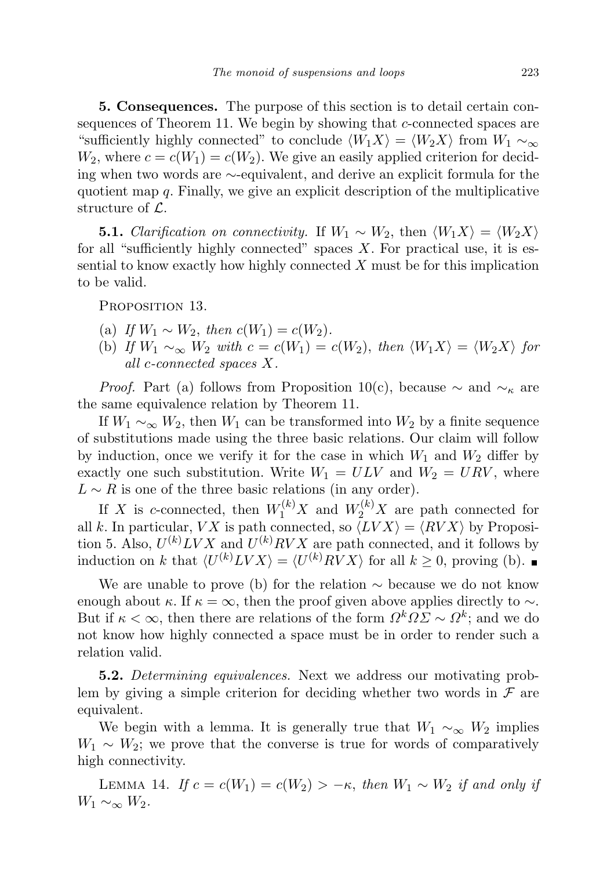5. Consequences. The purpose of this section is to detail certain consequences of Theorem 11. We begin by showing that c-connected spaces are "sufficiently highly connected" to conclude  $\langle W_1X\rangle = \langle W_2X\rangle$  from  $W_1 \sim_{\infty}$  $W_2$ , where  $c = c(W_1) = c(W_2)$ . We give an easily applied criterion for deciding when two words are ∼-equivalent, and derive an explicit formula for the quotient map  $q$ . Finally, we give an explicit description of the multiplicative structure of L.

**5.1.** Clarification on connectivity. If  $W_1 \sim W_2$ , then  $\langle W_1 X \rangle = \langle W_2 X \rangle$ for all "sufficiently highly connected" spaces  $X$ . For practical use, it is essential to know exactly how highly connected  $X$  must be for this implication to be valid.

PROPOSITION 13.

- (a) If  $W_1 \sim W_2$ , then  $c(W_1) = c(W_2)$ .
- (b) If  $W_1 \sim_{\infty} W_2$  with  $c = c(W_1) = c(W_2)$ , then  $\langle W_1 X \rangle = \langle W_2 X \rangle$  for all c-connected spaces X.

*Proof.* Part (a) follows from Proposition 10(c), because  $\sim$  and  $\sim_{\kappa}$  are the same equivalence relation by Theorem 11.

If  $W_1 \sim_{\infty} W_2$ , then  $W_1$  can be transformed into  $W_2$  by a finite sequence of substitutions made using the three basic relations. Our claim will follow by induction, once we verify it for the case in which  $W_1$  and  $W_2$  differ by exactly one such substitution. Write  $W_1 = ULV$  and  $W_2 = URV$ , where  $L \sim R$  is one of the three basic relations (in any order).

If X is c-connected, then  $W_1^{(k)}X$  and  $W_2^{(k)}X$  are path connected for all k. In particular, VX is path connected, so  $\langle LV X \rangle = \langle RV X \rangle$  by Proposition 5. Also,  $U^{(k)} L V X$  and  $U^{(k)} R V X$  are path connected, and it follows by induction on k that  $\langle U^{(k)} L V X \rangle = \langle U^{(k)} R V X \rangle$  for all  $k \geq 0$ , proving (b).

We are unable to prove (b) for the relation  $\sim$  because we do not know enough about  $\kappa$ . If  $\kappa = \infty$ , then the proof given above applies directly to  $\sim$ . But if  $\kappa < \infty$ , then there are relations of the form  $\Omega^k \Omega \Sigma \sim \Omega^k$ ; and we do not know how highly connected a space must be in order to render such a relation valid.

5.2. Determining equivalences. Next we address our motivating problem by giving a simple criterion for deciding whether two words in  $\mathcal F$  are equivalent.

We begin with a lemma. It is generally true that  $W_1 \sim_{\infty} W_2$  implies  $W_1 \sim W_2$ ; we prove that the converse is true for words of comparatively high connectivity.

LEMMA 14. If  $c = c(W_1) = c(W_2) > -\kappa$ , then  $W_1 \sim W_2$  if and only if  $W_1 \sim_{\infty} W_2$ .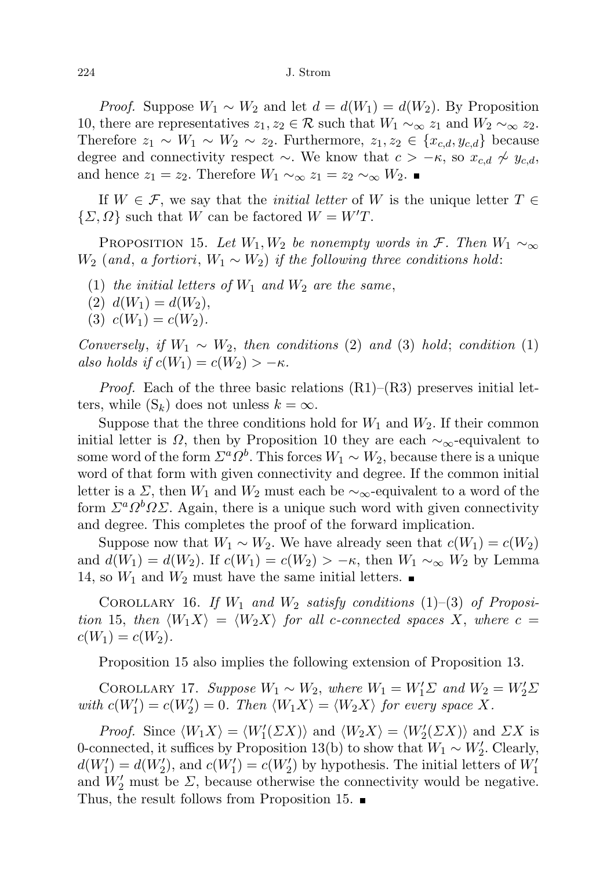*Proof.* Suppose  $W_1 \sim W_2$  and let  $d = d(W_1) = d(W_2)$ . By Proposition 10, there are representatives  $z_1, z_2 \in \mathcal{R}$  such that  $W_1 \sim_{\infty} z_1$  and  $W_2 \sim_{\infty} z_2$ . Therefore  $z_1 \sim W_1 \sim W_2 \sim z_2$ . Furthermore,  $z_1, z_2 \in \{x_{c,d}, y_{c,d}\}$  because degree and connectivity respect  $\sim$ . We know that  $c > -\kappa$ , so  $x_{c,d} \nsim y_{c,d}$ , and hence  $z_1 = z_2$ . Therefore  $W_1 \sim_{\infty} z_1 = z_2 \sim_{\infty} W_2$ .

If  $W \in \mathcal{F}$ , we say that the *initial letter* of W is the unique letter  $T \in$  $\{\Sigma, \Omega\}$  such that W can be factored  $W = W'T$ .

PROPOSITION 15. Let  $W_1, W_2$  be nonempty words in F. Then  $W_1 \sim_{\infty}$  $W_2$  (and, a fortiori,  $W_1 \sim W_2$ ) if the following three conditions hold:

- (1) the initial letters of  $W_1$  and  $W_2$  are the same,
- (2)  $d(W_1) = d(W_2)$ ,
- (3)  $c(W_1) = c(W_2)$ .

Conversely, if  $W_1 \sim W_2$ , then conditions (2) and (3) hold; condition (1) also holds if  $c(W_1) = c(W_2) > -\kappa$ .

*Proof.* Each of the three basic relations  $(R1)$ – $(R3)$  preserves initial letters, while  $(S_k)$  does not unless  $k = \infty$ .

Suppose that the three conditions hold for  $W_1$  and  $W_2$ . If their common initial letter is  $\Omega$ , then by Proposition 10 they are each  $\sim_{\infty}$ -equivalent to some word of the form  $\Sigma^a \Omega^b$ . This forces  $W_1 \sim W_2$ , because there is a unique word of that form with given connectivity and degree. If the common initial letter is a  $\Sigma$ , then  $W_1$  and  $W_2$  must each be  $\sim_{\infty}$ -equivalent to a word of the form  $\Sigma^a \Omega^b \Omega \Sigma$ . Again, there is a unique such word with given connectivity and degree. This completes the proof of the forward implication.

Suppose now that  $W_1 \sim W_2$ . We have already seen that  $c(W_1) = c(W_2)$ and  $d(W_1) = d(W_2)$ . If  $c(W_1) = c(W_2) > -\kappa$ , then  $W_1 \sim_{\infty} W_2$  by Lemma 14, so  $W_1$  and  $W_2$  must have the same initial letters.

COROLLARY 16. If  $W_1$  and  $W_2$  satisfy conditions (1)–(3) of Proposition 15, then  $\langle W_1 X \rangle = \langle W_2 X \rangle$  for all c-connected spaces X, where c =  $c(W_1) = c(W_2).$ 

Proposition 15 also implies the following extension of Proposition 13.

COROLLARY 17. Suppose  $W_1 \sim W_2$ , where  $W_1 = W_1' \Sigma$  and  $W_2 = W_2' \Sigma$ with  $c(W_1') = c(W_2') = 0$ . Then  $\langle W_1 X \rangle = \langle W_2 X \rangle$  for every space X.

*Proof.* Since  $\langle W_1 X \rangle = \langle W_1'(\Sigma X) \rangle$  and  $\langle W_2 X \rangle = \langle W_2'(\Sigma X) \rangle$  and  $\Sigma X$  is 0-connected, it suffices by Proposition 13(b) to show that  $W_1 \sim W_2'$ . Clearly,  $d(W_1') = d(W_2')$ , and  $c(W_1') = c(W_2')$  by hypothesis. The initial letters of  $W_1'$ and  $W'_2$  must be  $\Sigma$ , because otherwise the connectivity would be negative. Thus, the result follows from Proposition 15.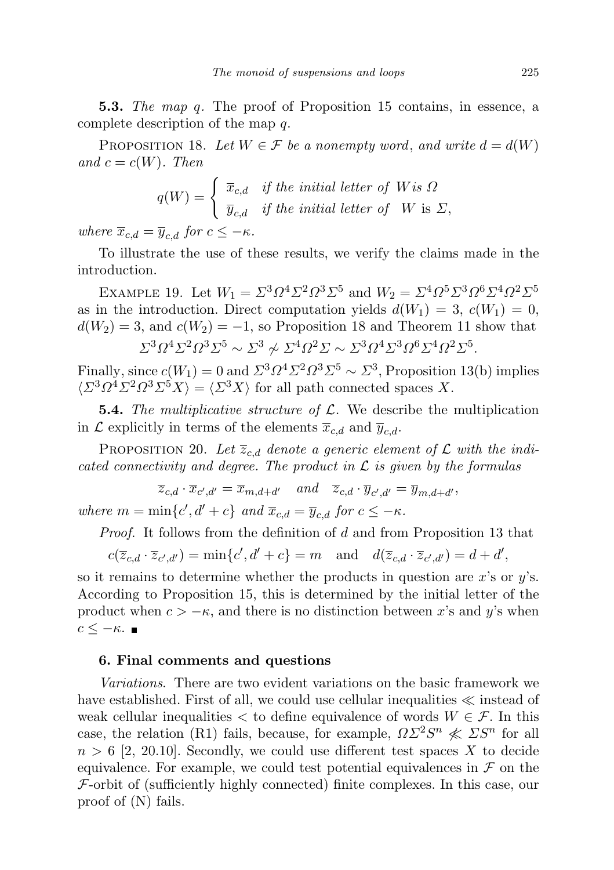**5.3.** The map q. The proof of Proposition 15 contains, in essence, a complete description of the map q.

PROPOSITION 18. Let  $W \in \mathcal{F}$  be a nonempty word, and write  $d = d(W)$ and  $c = c(W)$ . Then

$$
q(W) = \begin{cases} \overline{x}_{c,d} & \text{if the initial letter of } W \text{ is } \Omega \\ \overline{y}_{c,d} & \text{if the initial letter of } W \text{ is } \Sigma, \end{cases}
$$

where  $\overline{x}_{c,d} = \overline{y}_{c,d}$  for  $c \leq -\kappa$ .

To illustrate the use of these results, we verify the claims made in the introduction.

EXAMPLE 19. Let  $W_1 = \Sigma^3 \Omega^4 \Sigma^2 \Omega^3 \Sigma^5$  and  $W_2 = \Sigma^4 \Omega^5 \Sigma^3 \Omega^6 \Sigma^4 \Omega^2 \Sigma^5$ as in the introduction. Direct computation yields  $d(W_1) = 3$ ,  $c(W_1) = 0$ ,  $d(W_2) = 3$ , and  $c(W_2) = -1$ , so Proposition 18 and Theorem 11 show that

$$
\Sigma^3 \Omega^4 \Sigma^2 \Omega^3 \Sigma^5 \sim \Sigma^3 \not\sim \Sigma^4 \Omega^2 \Sigma \sim \Sigma^3 \Omega^4 \Sigma^3 \Omega^6 \Sigma^4 \Omega^2 \Sigma^5.
$$

Finally, since  $c(W_1) = 0$  and  $\Sigma^3 \Omega^4 \Sigma^2 \Omega^3 \Sigma^5 \sim \Sigma^3$ , Proposition 13(b) implies  $\langle \Sigma^3 \Omega^4 \Sigma^2 \Omega^3 \Sigma^5 X \rangle = \langle \Sigma^3 X \rangle$  for all path connected spaces X.

**5.4.** The multiplicative structure of  $\mathcal{L}$ . We describe the multiplication in  $\mathcal L$  explicitly in terms of the elements  $\overline{x}_{c,d}$  and  $\overline{y}_{c,d}$ .

PROPOSITION 20. Let  $\overline{z}_{c,d}$  denote a generic element of  $\mathcal L$  with the indicated connectivity and degree. The product in  $\mathcal L$  is given by the formulas

$$
\overline{z}_{c,d} \cdot \overline{x}_{c',d'} = \overline{x}_{m,d+d'} \quad and \quad \overline{z}_{c,d} \cdot \overline{y}_{c',d'} = \overline{y}_{m,d+d'},
$$
  
where  $m = \min\{c', d' + c\}$  and  $\overline{x}_{c,d} = \overline{y}_{c,d}$  for  $c \le -\kappa$ .

Proof. It follows from the definition of d and from Proposition 13 that

$$
c(\overline{z}_{c,d} \cdot \overline{z}_{c',d'}) = \min\{c',d'+c\} = m \quad \text{and} \quad d(\overline{z}_{c,d} \cdot \overline{z}_{c',d'}) = d+d',
$$

so it remains to determine whether the products in question are x's or  $y$ 's. According to Proposition 15, this is determined by the initial letter of the product when  $c > -\kappa$ , and there is no distinction between x's and y's when  $c \leq -\kappa$ .

## 6. Final comments and questions

Variations. There are two evident variations on the basic framework we have established. First of all, we could use cellular inequalities  $\ll$  instead of weak cellular inequalities  $\lt$  to define equivalence of words  $W \in \mathcal{F}$ . In this case, the relation (R1) fails, because, for example,  $\Omega \Sigma^2 S^n \nless \Sigma S^n$  for all  $n > 6$  [2, 20.10]. Secondly, we could use different test spaces X to decide equivalence. For example, we could test potential equivalences in  $\mathcal F$  on the  $\mathcal F$ -orbit of (sufficiently highly connected) finite complexes. In this case, our proof of (N) fails.